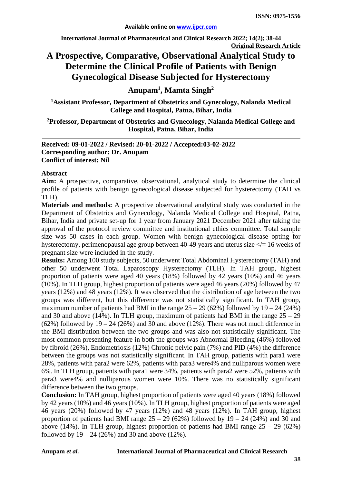**International Journal of Pharmaceutical and Clinical Research 2022; 14(2); 38-44 Original Research Article**

# **A Prospective, Comparative, Observational Analytical Study to Determine the Clinical Profile of Patients with Benign Gynecological Disease Subjected for Hysterectomy**

**Anupam1 , Mamta Singh2**

**1 Assistant Professor, Department of Obstetrics and Gynecology, Nalanda Medical College and Hospital, Patna, Bihar, India**

**2 Professor, Department of Obstetrics and Gynecology, Nalanda Medical College and Hospital, Patna, Bihar, India**

**Received: 09-01-2022 / Revised: 20-01-2022 / Accepted:03-02-2022 Corresponding author: Dr. Anupam Conflict of interest: Nil**

#### **Abstract**

**Aim:** A prospective, comparative, observational, analytical study to determine the clinical profile of patients with benign gynecological disease subjected for hysterectomy (TAH vs TLH).

**Materials and methods:** A prospective observational analytical study was conducted in the Department of Obstetrics and Gynecology, Nalanda Medical College and Hospital, Patna, Bihar, India and private set-up for 1 year from January 2021 December 2021 after taking the approval of the protocol review committee and institutional ethics committee. Total sample size was 50 cases in each group. Women with benign gynecological disease opting for hysterectomy, perimenopausal age group between 40-49 years and uterus size  $\leq$  = 16 weeks of pregnant size were included in the study.

**Results:** Among 100 study subjects, 50 underwent Total Abdominal Hysterectomy (TAH) and other 50 underwent Total Laparoscopy Hysterectomy (TLH). In TAH group, highest proportion of patients were aged 40 years (18%) followed by 42 years (10%) and 46 years (10%). In TLH group, highest proportion of patients were aged 46 years (20%) followed by 47 years (12%) and 48 years (12%). It was observed that the distribution of age between the two groups was different, but this difference was not statistically significant. In TAH group, maximum number of patients had BMI in the range  $25 - 29$  (62%) followed by  $19 - 24$  (24%) and 30 and above (14%). In TLH group, maximum of patients had BMI in the range  $25 - 29$  $(62%)$  followed by  $19 - 24$   $(26%)$  and  $30$  and above  $(12%)$ . There was not much difference in the BMI distribution between the two groups and was also not statistically significant. The most common presenting feature in both the groups was Abnormal Bleeding (46%) followed by fibroid (26%), Endometriosis (12%) Chronic pelvic pain (7%) and PID (4%) the difference between the groups was not statistically significant. In TAH group, patients with para1 were 28%, patients with para2 were 62%, patients with para3 were4% and nulliparous women were 6%. In TLH group, patients with para1 were 34%, patients with para2 were 52%, patients with para3 were4% and nulliparous women were 10%. There was no statistically significant difference between the two groups.

**Conclusion:** In TAH group, highest proportion of patients were aged 40 years (18%) followed by 42 years (10%) and 46 years (10%). In TLH group, highest proportion of patients were aged 46 years (20%) followed by 47 years (12%) and 48 years (12%). In TAH group, highest proportion of patients had BMI range  $25 - 29$  (62%) followed by  $19 - 24$  (24%) and 30 and above (14%). In TLH group, highest proportion of patients had BMI range  $25 - 29$  (62%) followed by  $19 - 24$  (26%) and 30 and above (12%).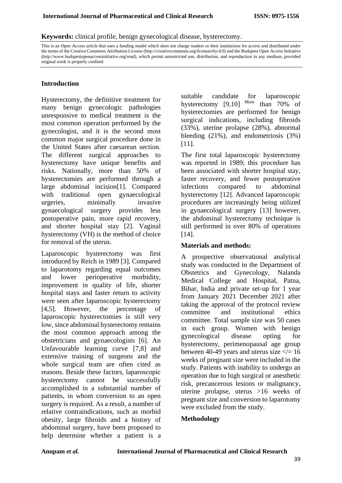**Keywords:** clinical profile, benign gynecological disease, hysterectomy.

This is an Open Access article that uses a funding model which does not charge readers or their institutions for access and distributed under the terms of the Creative Commons Attribution License (http://creativecommons.org/licenses/by/4.0) and the Budapest Open Access Initiative (http://www.budapestopenaccessinitiative.org/read), which permit unrestricted use, distribution, and reproduction in any medium, provided original work is properly credited.

## **Introduction**

Hysterectomy, the definitive treatment for many benign gynecologic pathologies unresponsive to medical treatment is the most common operation performed by the gynecologist, and it is the second most common major surgical procedure done in the United States after caesarean section. The different surgical approaches to hysterectomy have unique benefits and risks. Nationally, more than 50% of hysterectomies are performed through a large abdominal incision[1]. Compared with traditional open gynaecological urgeries, minimally invasive gynaecological surgery provides less postoperative pain, more rapid recovery, and shorter hospital stay [2]. Vaginal hysterectomy (VH) is the method of choice for removal of the uterus.

Laparoscopic hysterectomy was first introduced by Reich in 1989 [3]. Compared to laparotomy regarding equal outcomes and lower perioperative morbidity, improvement in quality of life, shorter hospital stays and faster return to activity were seen after laparoscopic hysterectomy [4,5]. However, the percentage of laparoscopic hysterectomies is still very low, since abdominal hysterectomy remains the most common approach among the obstetricians and gynaecologists [6]. An Unfavourable learning curve [7,8] and extensive training of surgeons and the whole surgical team are often cited as reasons. Beside these factors, laparoscopic hysterectomy cannot be successfully accomplished in a substantial number of patients, in whom conversion to an open surgery is required. As a result, a number of relative contraindications, such as morbid obesity, large fibroids and a history of abdominal surgery, have been proposed to help determine whether a patient is a

suitable candidate for laparoscopic hysterectomy [9,10] More than 70% of hysterectomies are performed for benign surgical indications, including fibroids (33%), uterine prolapse (28%), abnormal bleeding (21%), and endometriosis (3%) [11].

The first total laparoscopic hysterectomy was reported in 1989; this procedure has been associated with shorter hospital stay, faster recovery, and fewer postoperative infections compared to abdominal hysterectomy [12]. Advanced laparoscopic procedures are increasingly being utilized in gynaecological surgery [13] however, the abdominal hysterectomy technique is still performed in over 80% of operations [14].

#### **Materials and methods:**

A prospective observational analytical study was conducted in the Department of Obstetrics and Gynecology, Nalanda Medical College and Hospital, Patna, Bihar, India and private set-up for 1 year from January 2021 December 2021 after taking the approval of the protocol review committee and institutional ethics committee. Total sample size was 50 cases in each group. Women with benign gynecological disease opting for hysterectomy, perimenopausal age group between 40-49 years and uterus size  $\lt$  = 16 weeks of pregnant size were included in the study. Patients with inability to undergo an operation due to high surgical or anesthetic risk, precancerous lesions or malignancy, uterine prolapse, uterus >16 weeks of pregnant size and conversion to laparotomy were excluded from the study.

## **Methodology**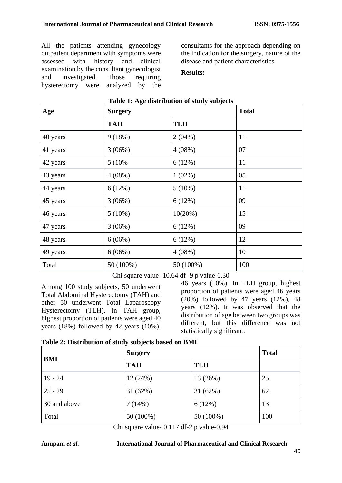All the patients attending gynecology outpatient department with symptoms were assessed with history and clinical examination by the consultant gynecologist and investigated. Those requiring hysterectomy were analyzed by the consultants for the approach depending on the indication for the surgery, nature of the disease and patient characteristics.

## **Results:**

| Age      | rable 1. Age abilibation of biddy babyeets<br><b>Surgery</b> | <b>Total</b> |     |
|----------|--------------------------------------------------------------|--------------|-----|
|          | <b>TAH</b>                                                   | <b>TLH</b>   |     |
| 40 years | 9(18%)                                                       | $2(04\%)$    | 11  |
| 41 years | 3(06%)                                                       | $4(08\%)$    | 07  |
| 42 years | 5 (10%)                                                      | 6(12%)       | 11  |
| 43 years | $4(08\%)$                                                    | $1(02\%)$    | 05  |
| 44 years | 6(12%)                                                       | $5(10\%)$    | 11  |
| 45 years | 3(06%)                                                       | 6(12%)       | 09  |
| 46 years | $5(10\%)$                                                    | 10(20%)      | 15  |
| 47 years | 3(06%)                                                       | 6(12%)       | 09  |
| 48 years | 6(06%)                                                       | 6(12%)       | 12  |
| 49 years | 6(06%)                                                       | $4(08\%)$    | 10  |
| Total    | 50 (100%)                                                    | 50 (100%)    | 100 |

## **Table 1: Age distribution of study subjects**

Chi square value- 10.64 df- 9 p value-0.30

Among 100 study subjects, 50 underwent Total Abdominal Hysterectomy (TAH) and other 50 underwent Total Laparoscopy Hysterectomy (TLH). In TAH group, highest proportion of patients were aged 40 years (18%) followed by 42 years (10%),

46 years (10%). In TLH group, highest proportion of patients were aged 46 years (20%) followed by 47 years (12%), 48 years (12%). It was observed that the distribution of age between two groups was different, but this difference was not statistically significant.

| Table 2: Distribution of study subjects based on BMI |  |  |
|------------------------------------------------------|--|--|
|                                                      |  |  |

| <b>BMI</b>   | <b>Surgery</b> |            | <b>Total</b> |
|--------------|----------------|------------|--------------|
|              | <b>TAH</b>     | <b>TLH</b> |              |
| $19 - 24$    | 12(24%)        | 13 (26%)   | 25           |
| $25 - 29$    | 31(62%)        | 31(62%)    | 62           |
| 30 and above | 7(14%)         | 6(12%)     | 13           |
| Total        | 50 (100%)      | 50 (100%)  | 100          |

Chi square value- 0.117 df-2 p value-0.94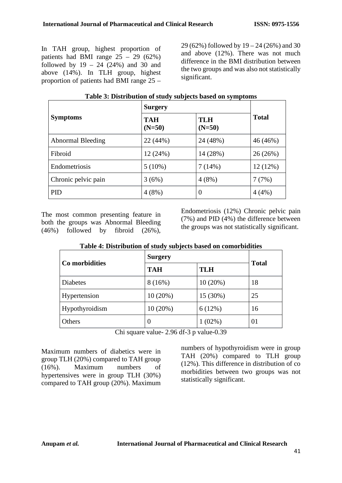In TAH group, highest proportion of patients had BMI range  $25 - 29$  (62%) followed by  $19 - 24 (24%)$  and  $30$  and above (14%). In TLH group, highest proportion of patients had BMI range 25 –

29 (62%) followed by 19 – 24 (26%) and 30 and above (12%). There was not much difference in the BMI distribution between the two groups and was also not statistically significant.

|                          | <b>Surgery</b>         |                        |              |
|--------------------------|------------------------|------------------------|--------------|
| <b>Symptoms</b>          | <b>TAH</b><br>$(N=50)$ | <b>TLH</b><br>$(N=50)$ | <b>Total</b> |
| <b>Abnormal Bleeding</b> | 22 (44%)               | 24 (48%)               | 46 (46%)     |
| Fibroid                  | 12(24%)                | 14 (28%)               | 26 (26%)     |
| Endometriosis            | $5(10\%)$              | 7(14%)                 | 12 (12%)     |
| Chronic pelvic pain      | 3(6%)                  | 4(8%)                  | 7(7%)        |
| <b>PID</b>               | 4(8%)                  | $\Omega$               | 4(4%)        |

#### **Table 3: Distribution of study subjects based on symptoms**

The most common presenting feature in both the groups was Abnormal Bleeding (46%) followed by fibroid (26%), Endometriosis (12%) Chronic pelvic pain (7%) and PID (4%) the difference between the groups was not statistically significant.

| Table 4. Distribution of study subjects based on comorbitative |                          |           |              |  |
|----------------------------------------------------------------|--------------------------|-----------|--------------|--|
|                                                                | <b>Surgery</b>           |           |              |  |
| Co morbidities                                                 | <b>TLH</b><br><b>TAH</b> |           | <b>Total</b> |  |
| <b>Diabetes</b>                                                | 8(16%)                   | 10(20%)   | 18           |  |
| Hypertension                                                   | 10(20%)                  | 15 (30%)  | 25           |  |
| Hypothyroidism                                                 | 10(20%)                  | 6(12%)    | 16           |  |
| Others                                                         | $\theta$                 | $1(02\%)$ | 01           |  |

## **Table 4: Distribution of study subjects based on comorbidities**

Chi square value- 2.96 df-3 p value-0.39

Maximum numbers of diabetics were in group TLH (20%) compared to TAH group (16%). Maximum numbers of hypertensives were in group TLH (30%) compared to TAH group (20%). Maximum

numbers of hypothyroidism were in group TAH (20%) compared to TLH group (12%). This difference in distribution of co morbidities between two groups was not statistically significant.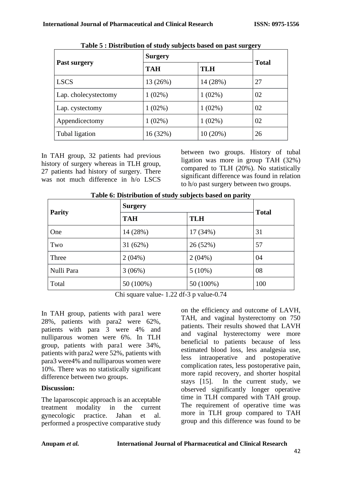|                      | <b>Surgery</b> |            | <b>Total</b> |  |
|----------------------|----------------|------------|--------------|--|
| Past surgery         | <b>TAH</b>     | <b>TLH</b> |              |  |
| <b>LSCS</b>          | 13 (26%)       | 14 (28%)   | 27           |  |
| Lap. cholecystectomy | $1(02\%)$      | $1(02\%)$  | 02           |  |
| Lap. cystectomy      | $1(02\%)$      | $1(02\%)$  | 02           |  |
| Appendicectomy       | $1(02\%)$      | $1(02\%)$  | 02           |  |
| Tubal ligation       | 16 (32%)       | 10(20%)    | 26           |  |

**Table 5 : Distribution of study subjects based on past surgery**

In TAH group, 32 patients had previous history of surgery whereas in TLH group, 27 patients had history of surgery. There was not much difference in h/o LSCS between two groups. History of tubal ligation was more in group TAH (32%) compared to TLH (20%). No statistically significant difference was found in relation to h/o past surgery between two groups.

| <b>Parity</b> | $\frac{1}{2}$ and $\frac{1}{2}$ and $\frac{1}{2}$ and $\frac{1}{2}$ are $\frac{1}{2}$ and $\frac{1}{2}$ are $\frac{1}{2}$ and $\frac{1}{2}$ are $\frac{1}{2}$ and $\frac{1}{2}$ are $\frac{1}{2}$ and $\frac{1}{2}$ are $\frac{1}{2}$ and $\frac{1}{2}$ are $\frac{1}{2}$ and $\frac{1}{2}$ a<br><b>Surgery</b> |            |              |
|---------------|-----------------------------------------------------------------------------------------------------------------------------------------------------------------------------------------------------------------------------------------------------------------------------------------------------------------|------------|--------------|
|               | <b>TAH</b>                                                                                                                                                                                                                                                                                                      | <b>TLH</b> | <b>Total</b> |
| One           | 14 (28%)                                                                                                                                                                                                                                                                                                        | 17 (34%)   | 31           |
| Two           | 31(62%)                                                                                                                                                                                                                                                                                                         | 26 (52%)   | 57           |
| Three         | $2(04\%)$                                                                                                                                                                                                                                                                                                       | $2(04\%)$  | 04           |
| Nulli Para    | 3(06%)                                                                                                                                                                                                                                                                                                          | $5(10\%)$  | 08           |
| Total         | 50 (100%)                                                                                                                                                                                                                                                                                                       | 50 (100%)  | 100          |

| Table 6: Distribution of study subjects based on parity |  |  |
|---------------------------------------------------------|--|--|
|                                                         |  |  |

Chi square value- 1.22 df-3 p value-0.74

In TAH group, patients with para1 were 28%, patients with para2 were 62%, patients with para 3 were 4% and nulliparous women were 6%. In TLH group, patients with para1 were 34%, patients with para2 were 52%, patients with para3 were4% and nulliparous women were 10%. There was no statistically significant difference between two groups.

# **Discussion:**

The laparoscopic approach is an acceptable treatment modality in the current gynecologic practice. Jahan et al. performed a prospective comparative study

on the efficiency and outcome of LAVH, TAH, and vaginal hysterectomy on 750 patients. Their results showed that LAVH and vaginal hysterectomy were more beneficial to patients because of less estimated blood loss, less analgesia use, less intraoperative and postoperative complication rates, less postoperative pain, more rapid recovery, and shorter hospital stays  $[15]$ . In the current study, we observed significantly longer operative time in TLH compared with TAH group. The requirement of operative time was more in TLH group compared to TAH group and this difference was found to be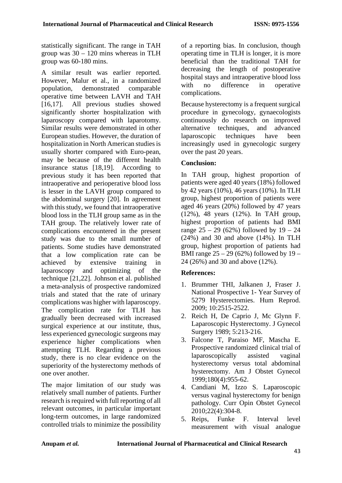statistically significant. The range in TAH group was 30 – 120 mins whereas in TLH group was 60-180 mins.

A similar result was earlier reported. However, Malur et al., in a randomized population, demonstrated comparable operative time between LAVH and TAH [16,17]. All previous studies showed significantly shorter hospitalization with laparoscopy compared with laparotomy. Similar results were demonstrated in other European studies. However, the duration of hospitalization in North American studies is usually shorter compared with Euro-pean, may be because of the different health insurance status [18,19]. According to previous study it has been reported that intraoperative and perioperative blood loss is lesser in the LAVH group compared to the abdominal surgery [20]. In agreement with this study, we found that intraoperative blood loss in the TLH group same as in the TAH group. The relatively lower rate of complications encountered in the present study was due to the small number of patients. Some studies have demonstrated that a low complication rate can be achieved by extensive training in laparoscopy and optimizing of the technique [21,22]. Johnson et al. published a meta-analysis of prospective randomized trials and stated that the rate of urinary complications was higher with laparoscopy. The complication rate for TLH has gradually been decreased with increased surgical experience at our institute, thus, less experienced gynecologic surgeons may experience higher complications when attempting TLH. Regarding a previous study, there is no clear evidence on the superiority of the hysterectomy methods of one over another.

The major limitation of our study was relatively small number of patients. Further research is required with full reporting of all relevant outcomes, in particular important long-term outcomes, in large randomized controlled trials to minimize the possibility

of a reporting bias. In conclusion, though operating time in TLH is longer, it is more beneficial than the traditional TAH for decreasing the length of postoperative hospital stays and intraoperative blood loss with no difference in operative complications.

Because hysterectomy is a frequent surgical procedure in gynecology, gynaecologists continuously do research on improved alternative techniques, and advanced laparoscopic techniques have been increasingly used in gynecologic surgery over the past 20 years.

# **Conclusion:**

In TAH group, highest proportion of patients were aged 40 years (18%) followed by 42 years (10%), 46 years (10%). In TLH group, highest proportion of patients were aged 46 years (20%) followed by 47 years (12%), 48 years (12%). In TAH group, highest proportion of patients had BMI range  $25 - 29$  (62%) followed by  $19 - 24$ (24%) and 30 and above (14%). In TLH group, highest proportion of patients had BMI range 25 – 29 (62%) followed by 19 – 24 (26%) and 30 and above (12%).

## **References:**

- 1. Brummer THI, Jalkanen J, Fraser J. National Prospective 1- Year Survey of 5279 Hysterectomies. Hum Reprod. 2009; 10:2515-2522.
- 2. Reich H, De Caprio J, Mc Glynn F. Laparoscopic Hysterectomy. J Gynecol Surgery 1989; 5:213-216.
- 3. Falcone T, Paraiso MF, Mascha E. Prospective randomized clinical trial of laparoscopically assisted vaginal hysterectomy versus total abdominal hysterectomy. Am J Obstet Gynecol 1999;180(4):955-62.
- 4. Candiani M, Izzo S. Laparoscopic versus vaginal hysterectomy for benign pathology. Curr Opin Obstet Gynecol 2010;22(4):304-8.
- 5. Reips, Funke F. Interval level measurement with visual analogue